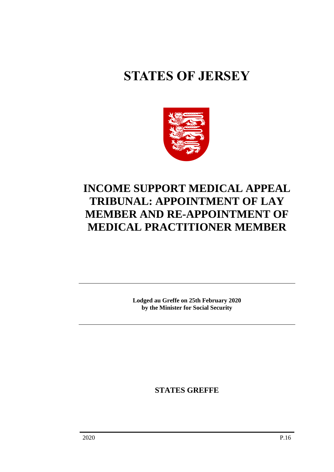# **STATES OF JERSEY**



## **INCOME SUPPORT MEDICAL APPEAL TRIBUNAL: APPOINTMENT OF LAY MEMBER AND RE-APPOINTMENT OF MEDICAL PRACTITIONER MEMBER**

**Lodged au Greffe on 25th February 2020 by the Minister for Social Security**

**STATES GREFFE**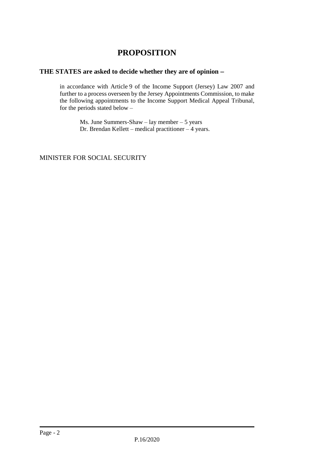### **PROPOSITION**

#### **THE STATES are asked to decide whether they are of opinion** −

in accordance with Article 9 of the Income Support (Jersey) Law 2007 and further to a process overseen by the Jersey Appointments Commission, to make the following appointments to the Income Support Medical Appeal Tribunal, for the periods stated below  $-$ 

Ms. June Summers-Shaw – lay member – 5 years Dr. Brendan Kellett – medical practitioner – 4 years.

#### MINISTER FOR SOCIAL SECURITY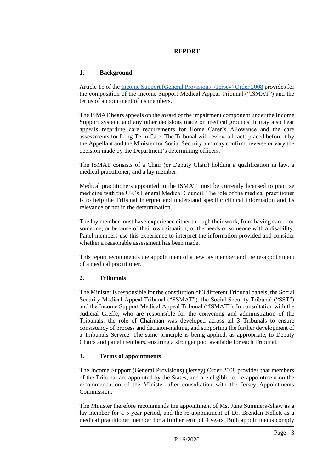#### **REPORT**

#### **1. Background**

Article 15 of the [Income Support \(General Provisions\) \(Jersey\) Order 2008](https://www.jerseylaw.je/laws/revised/Pages/26.550.20.aspx) provides for the composition of the Income Support Medical Appeal Tribunal ("ISMAT") and the terms of appointment of its members.

The ISMAT hears appeals on the award of the impairment component under the Income Support system, and any other decisions made on medical grounds. It may also hear appeals regarding care requirements for Home Carer's Allowance and the care assessments for Long-Term Care. The Tribunal will review all facts placed before it by the Appellant and the Minister for Social Security and may confirm, reverse or vary the decision made by the Department's determining officers.

The ISMAT consists of a Chair (or Deputy Chair) holding a qualification in law, a medical practitioner, and a lay member.

Medical practitioners appointed to the ISMAT must be currently licensed to practise medicine with the UK's General Medical Council. The role of the medical practitioner is to help the Tribunal interpret and understand specific clinical information and its relevance or not in the determination.

The lay member must have experience either through their work, from having cared for someone, or because of their own situation, of the needs of someone with a disability. Panel members use this experience to interpret the information provided and consider whether a reasonable assessment has been made.

This report recommends the appointment of a new lay member and the re-appointment of a medical practitioner.

#### **2. Tribunals**

The Minister is responsible for the constitution of 3 different Tribunal panels, the Social Security Medical Appeal Tribunal ("SSMAT"), the Social Security Tribunal ("SST") and the Income Support Medical Appeal Tribunal ("ISMAT"). In consultation with the Judicial Greffe, who are responsible for the convening and administration of the Tribunals, the role of Chairman was developed across all 3 Tribunals to ensure consistency of process and decision-making, and supporting the further development of a Tribunals Service. The same principle is being applied, as appropriate, to Deputy Chairs and panel members, ensuring a stronger pool available for each Tribunal.

#### **3. Terms of appointments**

The Income Support (General Provisions) (Jersey) Order 2008 provides that members of the Tribunal are appointed by the States, and are eligible for re-appointment on the recommendation of the Minister after consultation with the Jersey Appointments Commission.

The Minister therefore recommends the appointment of Ms. June Summers-Shaw as a lay member for a 5-year period, and the re-appointment of Dr. Brendan Kellett as a medical practitioner member for a further term of 4 years. Both appointments comply